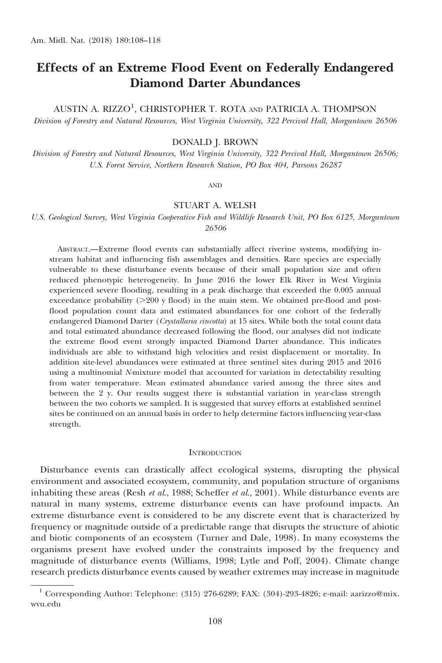# Effects of an Extreme Flood Event on Federally Endangered Diamond Darter Abundances

AUSTIN A. RIZZO<sup>1</sup>, CHRISTOPHER T. ROTA and PATRICIA A. THOMPSON

Division of Forestry and Natural Resources, West Virginia University, 322 Percival Hall, Morgantown 26506

## DONALD J. BROWN

Division of Forestry and Natural Resources, West Virginia University, 322 Percival Hall, Morgantown 26506; U.S. Forest Service, Northern Research Station, PO Box 404, Parsons 26287

AND

## STUART A. WELSH

U.S. Geological Survey, West Virginia Cooperative Fish and Wildlife Research Unit, PO Box 6125, Morgantown 26506

ABSTRACT.—Extreme flood events can substantially affect riverine systems, modifying instream habitat and influencing fish assemblages and densities. Rare species are especially vulnerable to these disturbance events because of their small population size and often reduced phenotypic heterogeneity. In June 2016 the lower Elk River in West Virginia experienced severe flooding, resulting in a peak discharge that exceeded the 0.005 annual exceedance probability  $(>=200 \text{ y flood})$  in the main stem. We obtained pre-flood and postflood population count data and estimated abundances for one cohort of the federally endangered Diamond Darter (Crystallaria cincotta) at 15 sites. While both the total count data and total estimated abundance decreased following the flood, our analyses did not indicate the extreme flood event strongly impacted Diamond Darter abundance. This indicates individuals are able to withstand high velocities and resist displacement or mortality. In addition site-level abundances were estimated at three sentinel sites during 2015 and 2016 using a multinomial N-mixture model that accounted for variation in detectability resulting from water temperature. Mean estimated abundance varied among the three sites and between the 2 y. Our results suggest there is substantial variation in year-class strength between the two cohorts we sampled. It is suggested that survey efforts at established sentinel sites be continued on an annual basis in order to help determine factors influencing year-class strength.

#### **INTRODUCTION**

Disturbance events can drastically affect ecological systems, disrupting the physical environment and associated ecosystem, community, and population structure of organisms inhabiting these areas (Resh et al., 1988; Scheffer et al., 2001). While disturbance events are natural in many systems, extreme disturbance events can have profound impacts. An extreme disturbance event is considered to be any discrete event that is characterized by frequency or magnitude outside of a predictable range that disrupts the structure of abiotic and biotic components of an ecosystem (Turner and Dale, 1998). In many ecosystems the organisms present have evolved under the constraints imposed by the frequency and magnitude of disturbance events (Williams, 1998; Lytle and Poff, 2004). Climate change research predicts disturbance events caused by weather extremes may increase in magnitude

 $^1$  Corresponding Author: Telephone: (315) 276-6289; FAX: (304)-293-4826; e-mail: aarizzo@mix. wvu.edu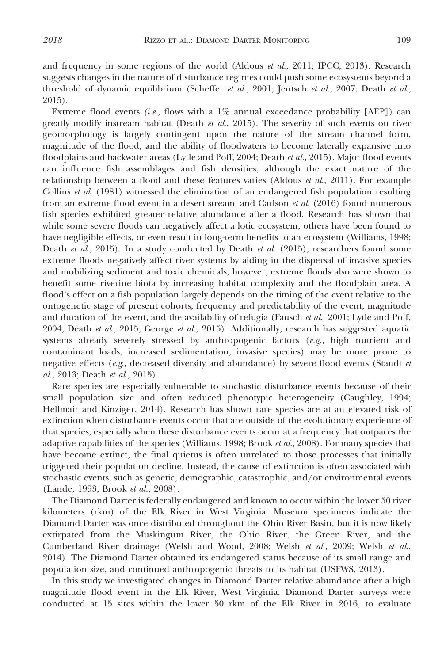and frequency in some regions of the world (Aldous et al., 2011; IPCC, 2013). Research suggests changes in the nature of disturbance regimes could push some ecosystems beyond a threshold of dynamic equilibrium (Scheffer et al., 2001; Jentsch et al., 2007; Death et al., 2015).

Extreme flood events (i.e., flows with a  $1\%$  annual exceedance probability [AEP]) can greatly modify instream habitat (Death et al., 2015). The severity of such events on river geomorphology is largely contingent upon the nature of the stream channel form, magnitude of the flood, and the ability of floodwaters to become laterally expansive into floodplains and backwater areas (Lytle and Poff, 2004; Death et al., 2015). Major flood events can influence fish assemblages and fish densities, although the exact nature of the relationship between a flood and these features varies (Aldous  $et al., 2011$ ). For example Collins et al. (1981) witnessed the elimination of an endangered fish population resulting from an extreme flood event in a desert stream, and Carlson et al. (2016) found numerous fish species exhibited greater relative abundance after a flood. Research has shown that while some severe floods can negatively affect a lotic ecosystem, others have been found to have negligible effects, or even result in long-term benefits to an ecosystem (Williams, 1998; Death et al., 2015). In a study conducted by Death et al. (2015), researchers found some extreme floods negatively affect river systems by aiding in the dispersal of invasive species and mobilizing sediment and toxic chemicals; however, extreme floods also were shown to benefit some riverine biota by increasing habitat complexity and the floodplain area. A flood's effect on a fish population largely depends on the timing of the event relative to the ontogenetic stage of present cohorts, frequency and predictability of the event, magnitude and duration of the event, and the availability of refugia (Fausch et al., 2001; Lytle and Poff, 2004; Death et al., 2015; George et al., 2015). Additionally, research has suggested aquatic systems already severely stressed by anthropogenic factors  $(e.g., high$  nutrient and contaminant loads, increased sedimentation, invasive species) may be more prone to negative effects ( $e.g.,$  decreased diversity and abundance) by severe flood events (Staudt  $et$ al., 2013; Death et al., 2015).

Rare species are especially vulnerable to stochastic disturbance events because of their small population size and often reduced phenotypic heterogeneity (Caughley, 1994; Hellmair and Kinziger, 2014). Research has shown rare species are at an elevated risk of extinction when disturbance events occur that are outside of the evolutionary experience of that species, especially when these disturbance events occur at a frequency that outpaces the adaptive capabilities of the species (Williams, 1998; Brook *et al.*, 2008). For many species that have become extinct, the final quietus is often unrelated to those processes that initially triggered their population decline. Instead, the cause of extinction is often associated with stochastic events, such as genetic, demographic, catastrophic, and/or environmental events (Lande, 1993; Brook et al., 2008).

The Diamond Darter is federally endangered and known to occur within the lower 50 river kilometers (rkm) of the Elk River in West Virginia. Museum specimens indicate the Diamond Darter was once distributed throughout the Ohio River Basin, but it is now likely extirpated from the Muskingum River, the Ohio River, the Green River, and the Cumberland River drainage (Welsh and Wood, 2008; Welsh et al., 2009; Welsh et al., 2014). The Diamond Darter obtained its endangered status because of its small range and population size, and continued anthropogenic threats to its habitat (USFWS, 2013).

In this study we investigated changes in Diamond Darter relative abundance after a high magnitude flood event in the Elk River, West Virginia. Diamond Darter surveys were conducted at 15 sites within the lower 50 rkm of the Elk River in 2016, to evaluate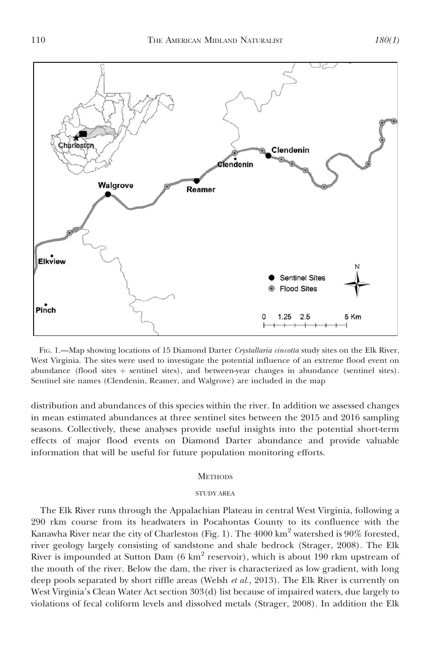



FIG. 1.—Map showing locations of 15 Diamond Darter Crystallaria cincotta study sites on the Elk River, West Virginia. The sites were used to investigate the potential influence of an extreme flood event on abundance (flood sites  $+$  sentinel sites), and between-year changes in abundance (sentinel sites). Sentinel site names (Clendenin, Reamer, and Walgrove) are included in the map

distribution and abundances of this species within the river. In addition we assessed changes in mean estimated abundances at three sentinel sites between the 2015 and 2016 sampling seasons. Collectively, these analyses provide useful insights into the potential short-term effects of major flood events on Diamond Darter abundance and provide valuable information that will be useful for future population monitoring efforts.

#### **METHODS**

## STUDY AREA

The Elk River runs through the Appalachian Plateau in central West Virginia, following a 290 rkm course from its headwaters in Pocahontas County to its confluence with the Kanawha River near the city of Charleston (Fig. 1). The  $4000 \text{ km}^2$  watershed is 90% forested, river geology largely consisting of sandstone and shale bedrock (Strager, 2008). The Elk River is impounded at Sutton Dam (6 km<sup>2</sup> reservoir), which is about 190 rkm upstream of the mouth of the river. Below the dam, the river is characterized as low gradient, with long deep pools separated by short riffle areas (Welsh et al., 2013). The Elk River is currently on West Virginia's Clean Water Act section 303(d) list because of impaired waters, due largely to violations of fecal coliform levels and dissolved metals (Strager, 2008). In addition the Elk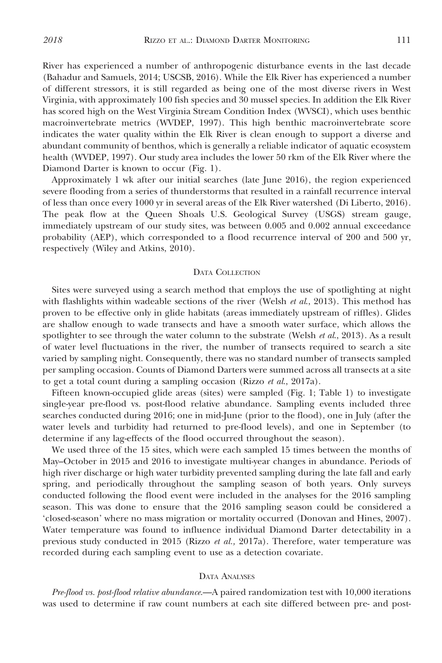River has experienced a number of anthropogenic disturbance events in the last decade (Bahadur and Samuels, 2014; USCSB, 2016). While the Elk River has experienced a number of different stressors, it is still regarded as being one of the most diverse rivers in West Virginia, with approximately 100 fish species and 30 mussel species. In addition the Elk River has scored high on the West Virginia Stream Condition Index (WVSCI), which uses benthic macroinvertebrate metrics (WVDEP, 1997). This high benthic macroinvertebrate score indicates the water quality within the Elk River is clean enough to support a diverse and abundant community of benthos, which is generally a reliable indicator of aquatic ecosystem health (WVDEP, 1997). Our study area includes the lower 50 rkm of the Elk River where the Diamond Darter is known to occur (Fig. 1).

Approximately 1 wk after our initial searches (late June 2016), the region experienced severe flooding from a series of thunderstorms that resulted in a rainfall recurrence interval of less than once every 1000 yr in several areas of the Elk River watershed (Di Liberto, 2016). The peak flow at the Queen Shoals U.S. Geological Survey (USGS) stream gauge, immediately upstream of our study sites, was between 0.005 and 0.002 annual exceedance probability (AEP), which corresponded to a flood recurrence interval of 200 and 500 yr, respectively (Wiley and Atkins, 2010).

## DATA COLLECTION

Sites were surveyed using a search method that employs the use of spotlighting at night with flashlights within wadeable sections of the river (Welsh et al., 2013). This method has proven to be effective only in glide habitats (areas immediately upstream of riffles). Glides are shallow enough to wade transects and have a smooth water surface, which allows the spotlighter to see through the water column to the substrate (Welsh  $et al., 2013$ ). As a result of water level fluctuations in the river, the number of transects required to search a site varied by sampling night. Consequently, there was no standard number of transects sampled per sampling occasion. Counts of Diamond Darters were summed across all transects at a site to get a total count during a sampling occasion (Rizzo  $et al., 2017a$ ).

Fifteen known-occupied glide areas (sites) were sampled (Fig. 1; Table 1) to investigate single-year pre-flood vs. post-flood relative abundance. Sampling events included three searches conducted during 2016; one in mid-June (prior to the flood), one in July (after the water levels and turbidity had returned to pre-flood levels), and one in September (to determine if any lag-effects of the flood occurred throughout the season).

We used three of the 15 sites, which were each sampled 15 times between the months of May–October in 2015 and 2016 to investigate multi-year changes in abundance. Periods of high river discharge or high water turbidity prevented sampling during the late fall and early spring, and periodically throughout the sampling season of both years. Only surveys conducted following the flood event were included in the analyses for the 2016 sampling season. This was done to ensure that the 2016 sampling season could be considered a 'closed-season' where no mass migration or mortality occurred (Donovan and Hines, 2007). Water temperature was found to influence individual Diamond Darter detectability in a previous study conducted in 2015 (Rizzo *et al.*, 2017a). Therefore, water temperature was recorded during each sampling event to use as a detection covariate.

#### DATA ANALYSES

Pre-flood vs. post-flood relative abundance.—A paired randomization test with 10,000 iterations was used to determine if raw count numbers at each site differed between pre- and post-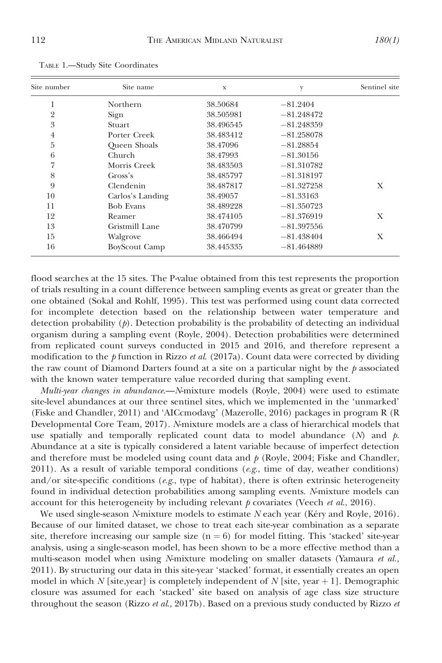| Site number    | Site name            | X         | V            | Sentinel site |
|----------------|----------------------|-----------|--------------|---------------|
| 1              | Northern             | 38.50684  | $-81.2404$   |               |
| $\overline{2}$ | Sign                 | 38.505981 | $-81.248472$ |               |
| 3              | <b>Stuart</b>        | 38.496545 | $-81.248359$ |               |
| $\overline{4}$ | Porter Creek         | 38.483412 | $-81.258078$ |               |
| 5              | Queen Shoals         | 38.47096  | $-81.28854$  |               |
| 6              | <b>Church</b>        | 38.47993  | $-81.30156$  |               |
| 7              | Morris Creek         | 38.483503 | $-81.310782$ |               |
| 8              | Gross's              | 38.485797 | $-81.318197$ |               |
| 9              | Clendenin            | 38.487817 | $-81.327258$ | X             |
| 10             | Carlos's Landing     | 38.49057  | $-81.33163$  |               |
| 11             | <b>Bob Evans</b>     | 38.489228 | $-81.350723$ |               |
| 12             | Reamer               | 38.474105 | $-81.376919$ | X             |
| 13             | Gristmill Lane       | 38.470799 | $-81.397556$ |               |
| 15             | Walgrove             | 38.466494 | $-81.438404$ | X             |
| 16             | <b>BoyScout Camp</b> | 38.445335 | $-81.464889$ |               |

TABLE 1.—Study Site Coordinates

flood searches at the 15 sites. The P-value obtained from this test represents the proportion of trials resulting in a count difference between sampling events as great or greater than the one obtained (Sokal and Rohlf, 1995). This test was performed using count data corrected for incomplete detection based on the relationship between water temperature and detection probability  $(p)$ . Detection probability is the probability of detecting an individual organism during a sampling event (Royle, 2004). Detection probabilities were determined from replicated count surveys conducted in 2015 and 2016, and therefore represent a modification to the p function in Rizzo et al. (2017a). Count data were corrected by dividing the raw count of Diamond Darters found at a site on a particular night by the  $\hat{p}$  associated with the known water temperature value recorded during that sampling event.

Multi-year changes in abundance.—N-mixture models (Royle, 2004) were used to estimate site-level abundances at our three sentinel sites, which we implemented in the 'unmarked' (Fiske and Chandler, 2011) and 'AICcmodavg' (Mazerolle, 2016) packages in program R (R Developmental Core Team, 2017). N-mixture models are a class of hierarchical models that use spatially and temporally replicated count data to model abundance  $(N)$  and  $p$ . Abundance at a site is typically considered a latent variable because of imperfect detection and therefore must be modeled using count data and  $p$  (Royle, 2004; Fiske and Chandler, 2011). As a result of variable temporal conditions ( $e.g.,$  time of day, weather conditions) and/or site-specific conditions (e.g., type of habitat), there is often extrinsic heterogeneity found in individual detection probabilities among sampling events. N-mixture models can account for this heterogeneity by including relevant  $p$  covariates (Veech et al., 2016).

We used single-season  $N$ -mixture models to estimate  $N$  each year (Kéry and Royle, 2016). Because of our limited dataset, we chose to treat each site-year combination as a separate site, therefore increasing our sample size  $(n = 6)$  for model fitting. This 'stacked' site-year analysis, using a single-season model, has been shown to be a more effective method than a multi-season model when using N-mixture modeling on smaller datasets (Yamaura et al., 2011). By structuring our data in this site-year 'stacked' format, it essentially creates an open model in which N [site,year] is completely independent of N [site, year  $+1$ ]. Demographic closure was assumed for each 'stacked' site based on analysis of age class size structure throughout the season (Rizzo et al., 2017b). Based on a previous study conducted by Rizzo et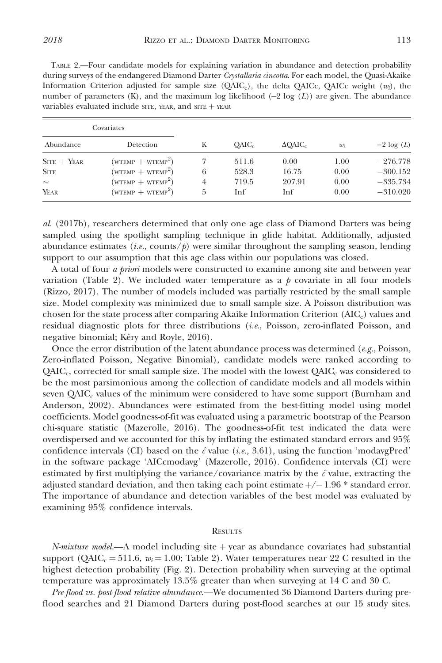TABLE 2.—Four candidate models for explaining variation in abundance and detection probability during surveys of the endangered Diamond Darter Crystallaria cincotta. For each model, the Quasi-Akaike Information Criterion adjusted for sample size  $(QAIC<sub>c</sub>)$ , the delta QAICc, QAICc weight  $(w<sub>i</sub>)$ , the number of parameters  $(K)$ , and the maximum log likelihood  $(-2 \log(L))$  are given. The abundance variables evaluated include SITE, YEAR, and SITE  $+$  YEAR

| Covariates    |                                   |   |                   |                  |       |              |
|---------------|-----------------------------------|---|-------------------|------------------|-------|--------------|
| Abundance     | Detection                         | Κ | OAIC <sub>c</sub> | $\triangle$ OAIC | $w_i$ | $-2 \log(L)$ |
| $STTE + YEAR$ | $(WTEMP + WTEMP2)$                |   | 511.6             | 0.00             | 1.00  | $-276.778$   |
| <b>SITE</b>   | $(WTEMP + WTEMP2)$                | 6 | 528.3             | 16.75            | 0.00  | $-300.152$   |
| $\sim$        | $(\text{wtemp} + \text{wtemp}^2)$ | 4 | 719.5             | 207.91           | 0.00  | $-335.734$   |
| YEAR          | $(WTEMP + WTEMP2)$                | 5 | Inf               | Inf              | 0.00  | $-310.020$   |

al. (2017b), researchers determined that only one age class of Diamond Darters was being sampled using the spotlight sampling technique in glide habitat. Additionally, adjusted abundance estimates (*i.e.*, counts/ $\phi$ ) were similar throughout the sampling season, lending support to our assumption that this age class within our populations was closed.

A total of four a priori models were constructed to examine among site and between year variation (Table 2). We included water temperature as a  $p$  covariate in all four models (Rizzo, 2017). The number of models included was partially restricted by the small sample size. Model complexity was minimized due to small sample size. A Poisson distribution was chosen for the state process after comparing Akaike Information Criterion (AIC<sub>c</sub>) values and residual diagnostic plots for three distributions (i.e., Poisson, zero-inflated Poisson, and negative binomial; Kéry and Royle, 2016).

Once the error distribution of the latent abundance process was determined ( $e.g.,$  Poisson, Zero-inflated Poisson, Negative Binomial), candidate models were ranked according to  $QAIC_c$ , corrected for small sample size. The model with the lowest  $QAIC_c$  was considered to be the most parsimonious among the collection of candidate models and all models within seven  $QAIC<sub>c</sub>$  values of the minimum were considered to have some support (Burnham and Anderson, 2002). Abundances were estimated from the best-fitting model using model coefficients. Model goodness-of-fit was evaluated using a parametric bootstrap of the Pearson chi-square statistic (Mazerolle, 2016). The goodness-of-fit test indicated the data were overdispersed and we accounted for this by inflating the estimated standard errors and 95% confidence intervals (CI) based on the  $\hat{c}$  value (i.e., 3.61), using the function 'modavgPred' in the software package 'AICcmodavg' (Mazerolle, 2016). Confidence intervals (CI) were estimated by first multiplying the variance/covariance matrix by the  $\hat{c}$  value, extracting the adjusted standard deviation, and then taking each point estimate  $+/- 1.96$  \* standard error. The importance of abundance and detection variables of the best model was evaluated by examining 95% confidence intervals.

### **RESULTS**

 $N-mixture model$ —A model including site  $+$  year as abundance covariates had substantial support ( $OAIC_c = 511.6$ ,  $w_i = 1.00$ ; Table 2). Water temperatures near 22 C resulted in the highest detection probability (Fig. 2). Detection probability when surveying at the optimal temperature was approximately 13.5% greater than when surveying at 14 C and 30 C.

Pre-flood vs. post-flood relative abundance.—We documented 36 Diamond Darters during preflood searches and 21 Diamond Darters during post-flood searches at our 15 study sites.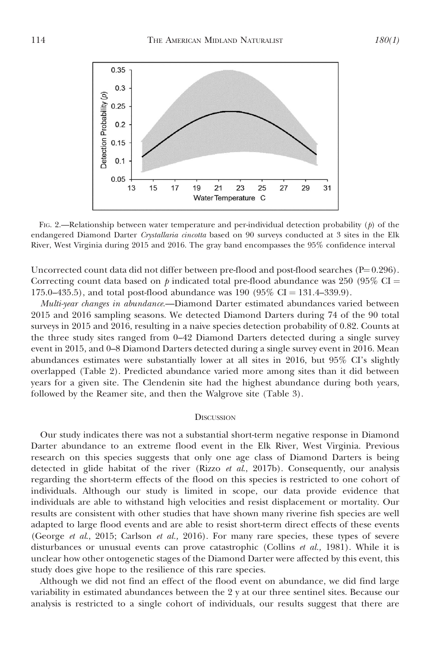![](_page_6_Figure_1.jpeg)

FIG. 2.—Relationship between water temperature and per-individual detection probability  $(p)$  of the endangered Diamond Darter Crystallaria cincotta based on 90 surveys conducted at 3 sites in the Elk River, West Virginia during 2015 and 2016. The gray band encompasses the 95% confidence interval

Uncorrected count data did not differ between pre-flood and post-flood searches  $(P=0.296)$ . Correcting count data based on  $\dot{p}$  indicated total pre-flood abundance was 250 (95% CI = 175.0–435.5), and total post-flood abundance was 190 (95% CI = 131.4–339.9).

Multi-year changes in abundance.—Diamond Darter estimated abundances varied between 2015 and 2016 sampling seasons. We detected Diamond Darters during 74 of the 90 total surveys in 2015 and 2016, resulting in a naive species detection probability of 0.82. Counts at the three study sites ranged from 0–42 Diamond Darters detected during a single survey event in 2015, and 0–8 Diamond Darters detected during a single survey event in 2016. Mean abundances estimates were substantially lower at all sites in 2016, but 95% CI's slightly overlapped (Table 2). Predicted abundance varied more among sites than it did between years for a given site. The Clendenin site had the highest abundance during both years, followed by the Reamer site, and then the Walgrove site (Table 3).

#### **DISCUSSION**

Our study indicates there was not a substantial short-term negative response in Diamond Darter abundance to an extreme flood event in the Elk River, West Virginia. Previous research on this species suggests that only one age class of Diamond Darters is being detected in glide habitat of the river (Rizzo et al., 2017b). Consequently, our analysis regarding the short-term effects of the flood on this species is restricted to one cohort of individuals. Although our study is limited in scope, our data provide evidence that individuals are able to withstand high velocities and resist displacement or mortality. Our results are consistent with other studies that have shown many riverine fish species are well adapted to large flood events and are able to resist short-term direct effects of these events (George et al., 2015; Carlson et al., 2016). For many rare species, these types of severe disturbances or unusual events can prove catastrophic (Collins  $et al., 1981$ ). While it is unclear how other ontogenetic stages of the Diamond Darter were affected by this event, this study does give hope to the resilience of this rare species.

Although we did not find an effect of the flood event on abundance, we did find large variability in estimated abundances between the 2 y at our three sentinel sites. Because our analysis is restricted to a single cohort of individuals, our results suggest that there are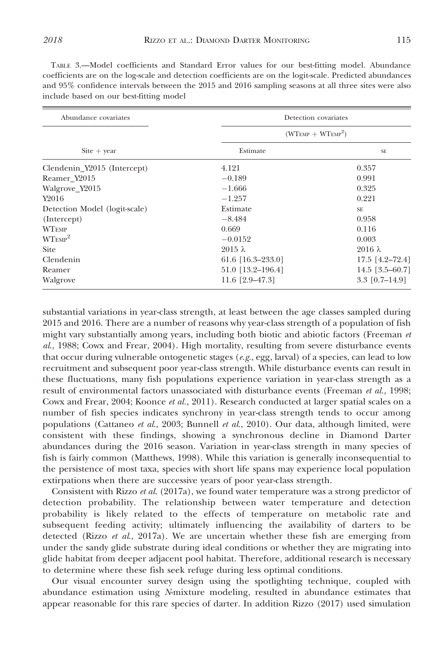| Abundance covariates          | Detection covariates |                   |
|-------------------------------|----------------------|-------------------|
|                               | $(WTEMP + WTEMP2)$   |                   |
| $\text{Site} + \text{year}$   | Estimate             | <b>SE</b>         |
| Clendenin_Y2015 (Intercept)   | 4.121                | 0.357             |
| Reamer Y2015                  | $-0.189$             | 0.991             |
| Walgrove_Y2015                | $-1.666$             | 0.325             |
| Y2016                         | $-1.257$             | 0.221             |
| Detection Model (logit-scale) | Estimate             | <b>SE</b>         |
| (Intercept)                   | $-8.484$             | 0.958             |
| <b>WTEMP</b>                  | 0.669                | 0.116             |
| $W T_{EMP}^2$                 | $-0.0152$            | 0.003             |
| <b>Site</b>                   | $2015 \lambda$       | $2016 \lambda$    |
| Clendenin                     | 61.6 $[16.3-233.0]$  | $17.5$ [4.2-72.4] |
| Reamer                        | $51.0$ [13.2-196.4]  | $14.5$ [3.5-60.7] |
| Walgrove                      | 11.6 $[2.9-47.3]$    | $3.3$ [0.7-14.9]  |

TABLE 3.—Model coefficients and Standard Error values for our best-fitting model. Abundance coefficients are on the log-scale and detection coefficients are on the logit-scale. Predicted abundances and 95% confidence intervals between the 2015 and 2016 sampling seasons at all three sites were also include based on our best-fitting model

substantial variations in year-class strength, at least between the age classes sampled during 2015 and 2016. There are a number of reasons why year-class strength of a population of fish might vary substantially among years, including both biotic and abiotic factors (Freeman et al., 1988; Cowx and Frear, 2004). High mortality, resulting from severe disturbance events that occur during vulnerable ontogenetic stages ( $e.g.,$  egg, larval) of a species, can lead to low recruitment and subsequent poor year-class strength. While disturbance events can result in these fluctuations, many fish populations experience variation in year-class strength as a result of environmental factors unassociated with disturbance events (Freeman et al., 1998; Cowx and Frear, 2004; Koonce *et al.*, 2011). Research conducted at larger spatial scales on a number of fish species indicates synchrony in year-class strength tends to occur among populations (Cattaneo et al., 2003; Bunnell et al., 2010). Our data, although limited, were consistent with these findings, showing a synchronous decline in Diamond Darter abundances during the 2016 season. Variation in year-class strength in many species of fish is fairly common (Matthews, 1998). While this variation is generally inconsequential to the persistence of most taxa, species with short life spans may experience local population extirpations when there are successive years of poor year-class strength.

Consistent with Rizzo et al. (2017a), we found water temperature was a strong predictor of detection probability. The relationship between water temperature and detection probability is likely related to the effects of temperature on metabolic rate and subsequent feeding activity; ultimately influencing the availability of darters to be detected (Rizzo *et al.*, 2017a). We are uncertain whether these fish are emerging from under the sandy glide substrate during ideal conditions or whether they are migrating into glide habitat from deeper adjacent pool habitat. Therefore, additional research is necessary to determine where these fish seek refuge during less optimal conditions.

Our visual encounter survey design using the spotlighting technique, coupled with abundance estimation using N-mixture modeling, resulted in abundance estimates that appear reasonable for this rare species of darter. In addition Rizzo (2017) used simulation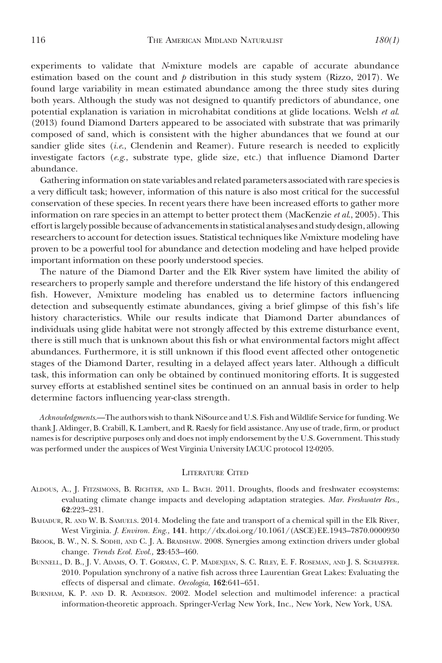experiments to validate that N-mixture models are capable of accurate abundance estimation based on the count and  $\phi$  distribution in this study system (Rizzo, 2017). We found large variability in mean estimated abundance among the three study sites during both years. Although the study was not designed to quantify predictors of abundance, one potential explanation is variation in microhabitat conditions at glide locations. Welsh et al. (2013) found Diamond Darters appeared to be associated with substrate that was primarily composed of sand, which is consistent with the higher abundances that we found at our sandier glide sites (*i.e.*, Clendenin and Reamer). Future research is needed to explicitly investigate factors (e.g., substrate type, glide size, etc.) that influence Diamond Darter abundance.

Gathering information on state variables and related parameters associated with rare species is a very difficult task; however, information of this nature is also most critical for the successful conservation of these species. In recent years there have been increased efforts to gather more information on rare species in an attempt to better protect them (MacKenzie *et al.*, 2005). This effort islargely possible because of advancements in statistical analyses and study design, allowing researchers to account for detection issues. Statistical techniques like N-mixture modeling have proven to be a powerful tool for abundance and detection modeling and have helped provide important information on these poorly understood species.

The nature of the Diamond Darter and the Elk River system have limited the ability of researchers to properly sample and therefore understand the life history of this endangered fish. However, N-mixture modeling has enabled us to determine factors influencing detection and subsequently estimate abundances, giving a brief glimpse of this fish's life history characteristics. While our results indicate that Diamond Darter abundances of individuals using glide habitat were not strongly affected by this extreme disturbance event, there is still much that is unknown about this fish or what environmental factors might affect abundances. Furthermore, it is still unknown if this flood event affected other ontogenetic stages of the Diamond Darter, resulting in a delayed affect years later. Although a difficult task, this information can only be obtained by continued monitoring efforts. It is suggested survey efforts at established sentinel sites be continued on an annual basis in order to help determine factors influencing year-class strength.

Acknowledgments.—The authors wish to thank NiSource and U.S. Fish and Wildlife Service for funding. We thank J. Aldinger, B. Crabill, K. Lambert, and R. Raesly for field assistance. Any use of trade, firm, or product names is for descriptive purposes only and does not imply endorsement by the U.S. Government. This study was performed under the auspices of West Virginia University IACUC protocol 12-0205.

#### LITERATURE CITED

- ALDOUS, A., J. FITZSIMONS, B. RICHTER, AND L. BACH. 2011. Droughts, floods and freshwater ecosystems: evaluating climate change impacts and developing adaptation strategies. Mar. Freshwater Res., 62:223–231.
- BAHADUR, R. AND W. B. SAMUELS. 2014. Modeling the fate and transport of a chemical spill in the Elk River, West Virginia. J. Environ. Eng., 141. http://dx.doi.org/10.1061/(ASCE)EE.1943–7870.0000930
- BROOK, B. W., N. S. SODHI, AND C. J. A. BRADSHAW. 2008. Synergies among extinction drivers under global change. Trends Ecol. Evol., 23:453–460.
- BUNNELL, D. B., J. V. ADAMS, O. T. GORMAN, C. P. MADENJIAN, S. C. RILEY, E. F. ROSEMAN, AND J. S. SCHAEFFER. 2010. Population synchrony of a native fish across three Laurentian Great Lakes: Evaluating the effects of dispersal and climate. Oecologia, 162:641–651.
- BURNHAM, K. P. AND D. R. ANDERSON. 2002. Model selection and multimodel inference: a practical information-theoretic approach. Springer-Verlag New York, Inc., New York, New York, USA.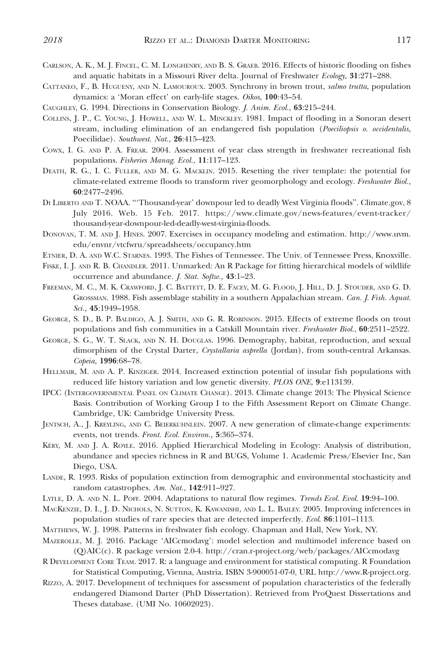- CARLSON, A. K., M. J. FINCEL, C. M. LONGHENRY, AND B. S. GRAEB. 2016. Effects of historic flooding on fishes and aquatic habitats in a Missouri River delta. Journal of Freshwater Ecology, 31:271–288.
- CATTANEO, F., B. HUGUENY, AND N. LAMOUROUX. 2003. Synchrony in brown trout, salmo trutta, population dynamics: a 'Moran effect' on early-life stages. Oikos, 100:43–54.
- CAUGHLEY, G. 1994. Directions in Conservation Biology. J. Anim. Ecol., 63:215–244.
- COLLINS, J. P., C. YOUNG, J. HOWELL, AND W. L. MINCKLEY. 1981. Impact of flooding in a Sonoran desert stream, including elimination of an endangered fish population (Poeciliopsis o. occidentalis, Poecilidae). Southwest. Nat., 26:415–423.
- COWX, I. G. AND P. A. FREAR. 2004. Assessment of year class strength in freshwater recreational fish populations. Fisheries Manag. Ecol., 11:117–123.
- DEATH, R. G., I. C. FULLER, AND M. G. MACKLIN. 2015. Resetting the river template: the potential for climate-related extreme floods to transform river geomorphology and ecology. Freshwater Biol., 60:2477–2496.
- DI LIBERTO AND T. NOAA. '''Thousand-year' downpour led to deadly West Virginia floods''. Climate.gov, 8 July 2016. Web. 15 Feb. 2017. https://www.climate.gov/news-features/event-tracker/ thousand-year-downpour-led-deadly-west-virginia-floods.
- DONOVAN, T. M. AND J. HINES. 2007. Exercises in occupancy modeling and estimation. http://www.uvm. edu/envnr/vtcfwru/spreadsheets/occupancy.htm
- ETNIER, D. A. AND W.C. STARNES. 1993. The Fishes of Tennessee. The Univ. of Tennessee Press, Knoxville.
- FISKE, I. J. AND R. B. CHANDLER. 2011. Unmarked: An R Package for fitting hierarchical models of wildlife occurrence and abundance. J. Stat. Softw., 43:1–23.
- FREEMAN, M. C., M. K. CRAWFORD, J. C. BATTETT, D. E. FACEY, M. G. FLOOD, J. HILL, D. J. STOUDER, AND G. D. GROSSMAN. 1988. Fish assemblage stability in a southern Appalachian stream. Can. J. Fish. Aquat. Sci., 45:1949–1958.
- GEORGE, S. D., B. P. BALDIGO, A. J. SMITH, AND G. R. ROBINSON. 2015. Effects of extreme floods on trout populations and fish communities in a Catskill Mountain river. Freshwater Biol., 60:2511-2522.
- GEORGE, S. G., W. T. SLACK, AND N. H. DOUGLAS. 1996. Demography, habitat, reproduction, and sexual dimorphism of the Crystal Darter, Crystallaria asprella (Jordan), from south-central Arkansas. Copeia, 1996:68–78.
- HELLMAIR, M. AND A. P. KINZIGER. 2014. Increased extinction potential of insular fish populations with reduced life history variation and low genetic diversity. PLOS ONE, 9:e113139.
- IPCC (INTERGOVERNMENTAL PANEL ON CLIMATE CHANGE). 2013. Climate change 2013: The Physical Science Basis. Contribution of Working Group I to the Fifth Assessment Report on Climate Change. Cambridge, UK: Cambridge University Press.
- JENTSCH, A., J. KREYLING, AND C. BEIERKUHNLEIN. 2007. A new generation of climate-change experiments: events, not trends. Front. Ecol. Environ., 5:365–374.
- KERY, M. AND J. A. ROYLE. 2016. Applied Hierarchical Modeling in Ecology: Analysis of distribution, abundance and species richness in R and BUGS, Volume 1. Academic Press/Elsevier Inc, San Diego, USA.
- LANDE, R. 1993. Risks of population extinction from demographic and environmental stochasticity and random catastrophes. Am. Nat., 142:911–927.
- LYTLE, D. A. AND N. L. POFF. 2004. Adaptations to natural flow regimes. Trends Ecol. Evol. 19:94-100.
- MACKENZIE, D. I., J. D. NICHOLS, N. SUTTON, K. KAWANISHI, AND L. L. BAILEY. 2005. Improving inferences in population studies of rare species that are detected imperfectly. Ecol. 86:1101–1113.
- MATTHEWS, W. J. 1998. Patterns in freshwater fish ecology. Chapman and Hall, New York, NY.
- MAZEROLLE, M. J. 2016. Package 'AICcmodavg': model selection and multimodel inference based on (Q)AIC(c). R package version 2.0-4. http://cran.r-project.org/web/packages/AICcmodavg
- R DEVELOPMENT CORE TEAM. 2017. R: a language and environment for statistical computing. R Foundation for Statistical Computing, Vienna, Austria. ISBN 3-900051-07-0, URL http://www.R-project.org.
- RIZZO, A. 2017. Development of techniques for assessment of population characteristics of the federally endangered Diamond Darter (PhD Dissertation). Retrieved from ProQuest Dissertations and Theses database. (UMI No. 10602023).